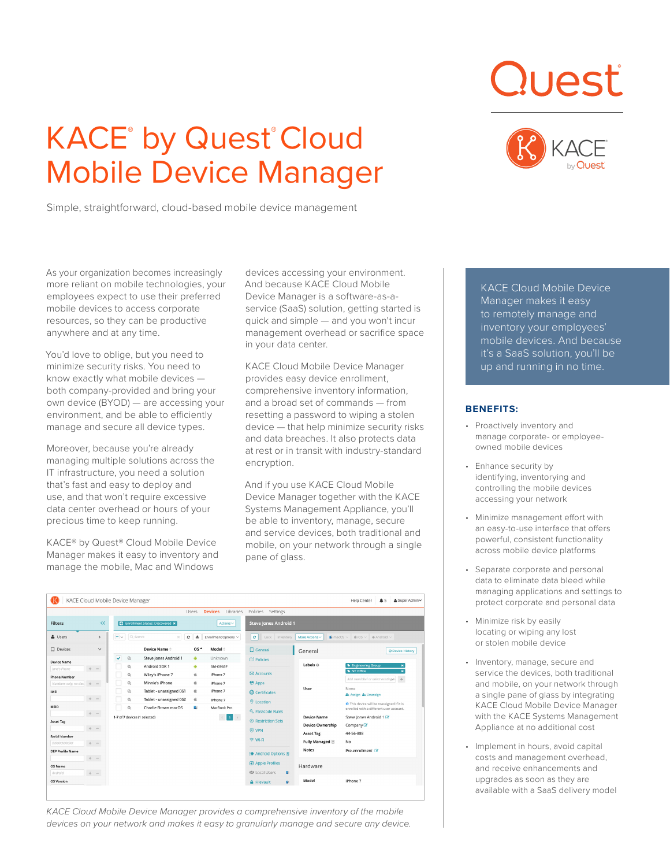# KACE<sup>®</sup> by Quest® Cloud Mobile Device Manager

Simple, straightforward, cloud-based mobile device management





As your organization becomes increasingly more reliant on mobile technologies, your employees expect to use their preferred mobile devices to access corporate resources, so they can be productive anywhere and at any time.

You'd love to oblige, but you need to minimize security risks. You need to know exactly what mobile devices both company-provided and bring your own device (BYOD) — are accessing your environment, and be able to efficiently manage and secure all device types.

Moreover, because you're already managing multiple solutions across the IT infrastructure, you need a solution that's fast and easy to deploy and use, and that won't require excessive data center overhead or hours of your precious time to keep running.

KACE® by Quest® Cloud Mobile Device Manager makes it easy to inventory and manage the mobile, Mac and Windows

devices accessing your environment. And because KACE Cloud Mobile Device Manager is a software-as-aservice (SaaS) solution, getting started is quick and simple — and you won't incur management overhead or sacrifice space in your data center.

KACE Cloud Mobile Device Manager provides easy device enrollment, comprehensive inventory information, and a broad set of commands — from resetting a password to wiping a stolen device — that help minimize security risks and data breaches. It also protects data at rest or in transit with industry-standard encryption.

And if you use KACE Cloud Mobile Device Manager together with the KACE Systems Management Appliance, you'll be able to inventory, manage, secure and service devices, both traditional and mobile, on your network through a single pane of glass.

| KACE Cloud Mobile Device Manager<br><b>Help Center</b><br>A5<br>& Super Admin                                                                                                                                                                                        |                                                                                                                                                                                                                                                                                                                                                                                                                                                               |                                                                                                                                                                                                                                                                                                                                                                                                                                                                       |                                                                                                                                                                                        |
|----------------------------------------------------------------------------------------------------------------------------------------------------------------------------------------------------------------------------------------------------------------------|---------------------------------------------------------------------------------------------------------------------------------------------------------------------------------------------------------------------------------------------------------------------------------------------------------------------------------------------------------------------------------------------------------------------------------------------------------------|-----------------------------------------------------------------------------------------------------------------------------------------------------------------------------------------------------------------------------------------------------------------------------------------------------------------------------------------------------------------------------------------------------------------------------------------------------------------------|----------------------------------------------------------------------------------------------------------------------------------------------------------------------------------------|
| <b>Devices</b> libraries<br>Policies Settings<br>Lisers                                                                                                                                                                                                              |                                                                                                                                                                                                                                                                                                                                                                                                                                                               |                                                                                                                                                                                                                                                                                                                                                                                                                                                                       |                                                                                                                                                                                        |
| $\ll$<br><b>Filters</b><br><b>Steve Jones Android 1</b><br>El Enrollment Status: Discovered x<br>Actions ~                                                                                                                                                           |                                                                                                                                                                                                                                                                                                                                                                                                                                                               |                                                                                                                                                                                                                                                                                                                                                                                                                                                                       |                                                                                                                                                                                        |
| $ \sim$<br>Q. Search<br>& Users<br>c<br>击<br>$\circ$<br>$\rightarrow$<br>Enrollment Options ~<br>Lock<br>More Actions ~<br>$\bullet$ macOS $\vee$ $\bullet$ iOS $\vee$ $\bullet$ Android $\vee$<br>$\mathcal{C}$<br>Inventory                                        |                                                                                                                                                                                                                                                                                                                                                                                                                                                               |                                                                                                                                                                                                                                                                                                                                                                                                                                                                       |                                                                                                                                                                                        |
| $\square$ Devices<br>$\checkmark$                                                                                                                                                                                                                                    | Device Name <sup>+</sup><br>$OS -$<br>Model =                                                                                                                                                                                                                                                                                                                                                                                                                 | $\Box$ General<br>General                                                                                                                                                                                                                                                                                                                                                                                                                                             | © Device History                                                                                                                                                                       |
| <b>Device Name</b><br>Jane's Phone<br>$\sim$<br>$\sim$<br><b>Phone Number</b><br>Numbers only, no das.<br>$+$<br>$\sim$<br>IMEI<br>$+ -$<br>MEID<br>$+ -$<br><b>Asset Tag</b><br>$+ -$<br><b>Serial Number</b><br>02000320005200<br>$+ -$<br><b>DEP Profile Name</b> | v<br>$^{\circ}$<br>Steve Jones Android 1<br>Unknown<br>٠<br>$\mathcal{Q}_k$<br>Android SDK 1<br>٠<br>SM-G965F<br>Wiley's iPhone 7<br>$^{\circ}$<br>×.<br>iPhone 7<br>$^{\circ}$<br>Minnie's iPhone<br>ú<br>iPhone 7<br>$^{\circ}$<br><b>d</b><br>iPhone 7<br>Tablet - unassigned 061<br>$^{\circ}$<br>Tablet - unassigned 062<br>ú<br>IPhone 7<br>$\circ$<br>d.<br>Charlie Brown macOS<br>MacBook Pro<br>1-7 of 7 devices (1 selected)<br>$1$ ><br>$\epsilon$ | <b>MT</b> Policies<br>Labels $\odot$<br><b>B</b> Engineering Group<br>NY Office<br><b>M</b> Accounts<br><b>奇 Apps</b><br>None<br>User<br><b>@</b> Certificates<br>& Assign & Unassign<br><b>O</b> Location<br><sup>2</sup> Passcode Rules<br>Device Name<br><sup>(8)</sup> Restriction Sets<br><b>Device Ownership</b><br>Company &<br><b>⊙ VPN</b><br>44-56-888<br><b>Asset Tag</b><br><b>令 Wi-Fi</b><br>Fully Managed<br>No<br>Notes<br>Pre-enrollment <sup>2</sup> | ×<br>$\mathbf{x}$<br>Add new label or select existing a<br>$+$<br><b>O</b> This device will be reassigned if it is<br>enrolled with a different user account.<br>Steve Jones Android 1 |
| $+ -$<br>OS Name<br>Android<br>$\Phi = -$                                                                                                                                                                                                                            |                                                                                                                                                                                                                                                                                                                                                                                                                                                               | <b>I</b> Android Options <b>B</b><br>Apple Profiles<br>Hardware<br>場 Local Users<br>图                                                                                                                                                                                                                                                                                                                                                                                 |                                                                                                                                                                                        |
| <b>OS Version</b>                                                                                                                                                                                                                                                    |                                                                                                                                                                                                                                                                                                                                                                                                                                                               | Model<br>iPhone 7<br><b>A</b> FileVault<br>峯                                                                                                                                                                                                                                                                                                                                                                                                                          |                                                                                                                                                                                        |

*KACE Cloud Mobile Device Manager provides a comprehensive inventory of the mobile devices on your network and makes it easy to granularly manage and secure any device.* KACE Cloud Mobile Device Manager makes it easy to remotely manage and inventory your employees' mobile devices. And because it's a SaaS solution, you'll be up and running in no time.

# **BENEFITS:**

- Proactively inventory and manage corporate- or employeeowned mobile devices
- Enhance security by identifying, inventorying and controlling the mobile devices accessing your network
- Minimize management effort with an easy-to-use interface that offers powerful, consistent functionality across mobile device platforms
- Separate corporate and personal data to eliminate data bleed while managing applications and settings to protect corporate and personal data
- Minimize risk by easily locating or wiping any lost or stolen mobile device
- Inventory, manage, secure and service the devices, both traditional and mobile, on your network through a single pane of glass by integrating KACE Cloud Mobile Device Manager with the KACE Systems Management Appliance at no additional cost
- Implement in hours, avoid capital costs and management overhead, and receive enhancements and upgrades as soon as they are available with a SaaS delivery model